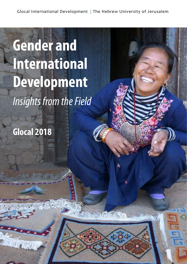SIME SPACE A DELLE

# **Gender and International Development** *Insights from the Field*

**Glocal 2018**

 $\mathcal{A}$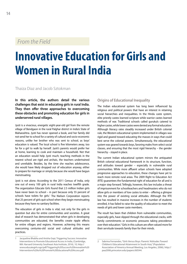### *From the Field*

## **Innovative Education for Girls and Women in Rural India**

#### Thaiza Diaz and Jacob Sztokman

**In this article, the authors detail the various challenges that exist in educating girls in rural India. They then offer three approaches to overcoming these obstacles and promoting education for girls in underserved rural villages.** 

Jyoti is a vivacious, energetic eight-year-old girl from the remote village of Bendgaon in the rural Palghar district in India's State of Maharashtra. Jyoti has never opened a book, and her family did not send her to school for a variety of cultural and socio-economic reasons, unlike her brother who was sent to school, as boys' education is valued. The local school is five kilometers away, too far for a girl to walk by herself. Jyoti's parents would prefer her at home, learning to cook and maintain a household. Not that an education would help Jyoti much; teaching methods in the nearest school are rigid and archaic, the teachers undertrained and unreliable. Besides, by the time she reaches adolescence, she would have likely dropped out of education anyway, either to prepare for marriage or simply because she would have begun menstruating.

Jyoti is not alone. According to the 2011 Census of India, only one out of every 100 girls in rural India reaches twelfth grade. The organization Educate Girls found that 2.5 million Indian girls have never been to school – in part because only 55 percent of schools have toilets for girls.<sup>1</sup> The Nielsen Corporation reports that 25 percent of girls quit school when they begin menstruating because they have no sanitary facilities.

The education of girls in India is vital, not only for the girls in question but also for entire communities and societies. A great deal of research has demonstrated that when girls in developing communities are educated, the benefits create ripple effects for entire villages and regions. However, achieving this means overcoming centuries-old social and cultural attitudes and practices.

#### **Origins of Educational Inequality**

The Indian educational system has long been influenced by religious and political powers that have an interest in retaining social hierarchies and inequalities. In the Hindu caste system, elite priestly castes learned scripture while warrior castes learned methods of war. Traditional schools called gurukuls catered to higher castes, while lower castes were denied any formal education. Although literacy rates steadily increased under British colonial rule, the Western educational system implemented in villages was rigid and geared toward educating the masses in ways that could best serve the colonial powers. Simultaneously, the educational system was geared towards boys, favoring males from select social classes, and ensuring that the most rigid hierarchy – the gender hierarchy – stayed in place.

The current Indian educational system mirrors the antiquated British colonial educational framework in its structure, function, and attitudes toward gender – especially in vulnerable rural communities. While more affluent urban schools have adopted progressive approaches to education, these changes have yet to reach more remote rural areas. The 2009 Right to Education Act (RTE) guarantees the fundamental right of education for all and is a major step forward. Tellingly, however, this law includes a threat of imprisonment for schoolteachers and headmasters who do not allow girls or members of low castes to enter – offering a glimpse into the power of existing social attitudes. Although the RTE law has resulted in massive increases in the number of students enrolled, it has failed to raise the quality of education to meet the needs of girls and lower caste members.

The result has been that children from vulnerable communities, especially girls, have slipped through the educational cracks, with family commitments or economic pressures taking precedence over their education.<sup>2</sup> Girls in this culture are often valued more for their servitude towards family than for their minds.

<sup>1</sup> Jacqueline Bhabha and Anisha Gopi, Triggering Success: Innovative Interventions to Promote Educational Access in India, (Cambridge, MA: Harvard University Southeast Asia Institute, 2016), 10, http:// www.educategirls.ngo/pdf/Triggering%20Success%20Innovative%20 Interventions%20to%20Promote%20Educational%20Access.pdf

<sup>2</sup> Sabrina Fernandes, "Girls Versus Boys: Parents' Attitudes Toward Children's Educational Attainment in South Asia," (Population Association of America Annual Meeting, Los Angeles, 2006), http:// paa2006.princeton.edu/papers/60544.